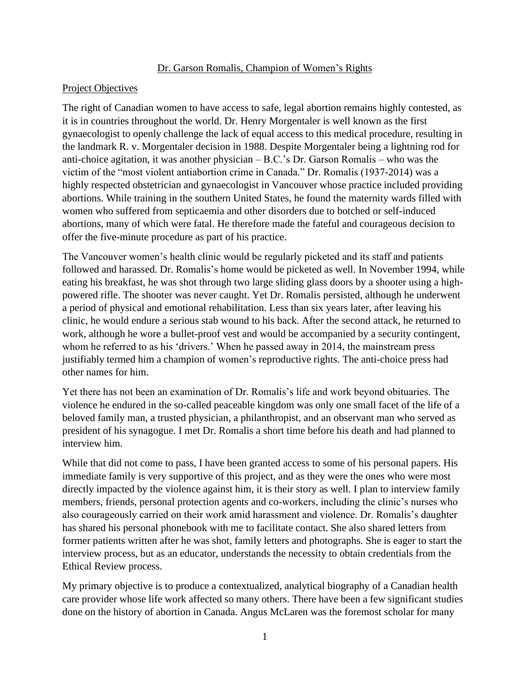### Dr. Garson Romalis, Champion of Women's Rights

### Project Objectives

The right of Canadian women to have access to safe, legal abortion remains highly contested, as it is in countries throughout the world. Dr. Henry Morgentaler is well known as the first gynaecologist to openly challenge the lack of equal access to this medical procedure, resulting in the landmark R. v. Morgentaler decision in 1988. Despite Morgentaler being a lightning rod for anti-choice agitation, it was another physician – B.C.'s Dr. Garson Romalis – who was the victim of the "most violent antiabortion crime in Canada." Dr. Romalis (1937-2014) was a highly respected obstetrician and gynaecologist in Vancouver whose practice included providing abortions. While training in the southern United States, he found the maternity wards filled with women who suffered from septicaemia and other disorders due to botched or self-induced abortions, many of which were fatal. He therefore made the fateful and courageous decision to offer the five-minute procedure as part of his practice.

The Vancouver women's health clinic would be regularly picketed and its staff and patients followed and harassed. Dr. Romalis's home would be picketed as well. In November 1994, while eating his breakfast, he was shot through two large sliding glass doors by a shooter using a highpowered rifle. The shooter was never caught. Yet Dr. Romalis persisted, although he underwent a period of physical and emotional rehabilitation. Less than six years later, after leaving his clinic, he would endure a serious stab wound to his back. After the second attack, he returned to work, although he wore a bullet-proof vest and would be accompanied by a security contingent, whom he referred to as his 'drivers.' When he passed away in 2014, the mainstream press justifiably termed him a champion of women's reproductive rights. The anti-choice press had other names for him.

Yet there has not been an examination of Dr. Romalis's life and work beyond obituaries. The violence he endured in the so-called peaceable kingdom was only one small facet of the life of a beloved family man, a trusted physician, a philanthropist, and an observant man who served as president of his synagogue. I met Dr. Romalis a short time before his death and had planned to interview him.

While that did not come to pass, I have been granted access to some of his personal papers. His immediate family is very supportive of this project, and as they were the ones who were most directly impacted by the violence against him, it is their story as well. I plan to interview family members, friends, personal protection agents and co-workers, including the clinic's nurses who also courageously carried on their work amid harassment and violence. Dr. Romalis's daughter has shared his personal phonebook with me to facilitate contact. She also shared letters from former patients written after he was shot, family letters and photographs. She is eager to start the interview process, but as an educator, understands the necessity to obtain credentials from the Ethical Review process.

My primary objective is to produce a contextualized, analytical biography of a Canadian health care provider whose life work affected so many others. There have been a few significant studies done on the history of abortion in Canada. Angus McLaren was the foremost scholar for many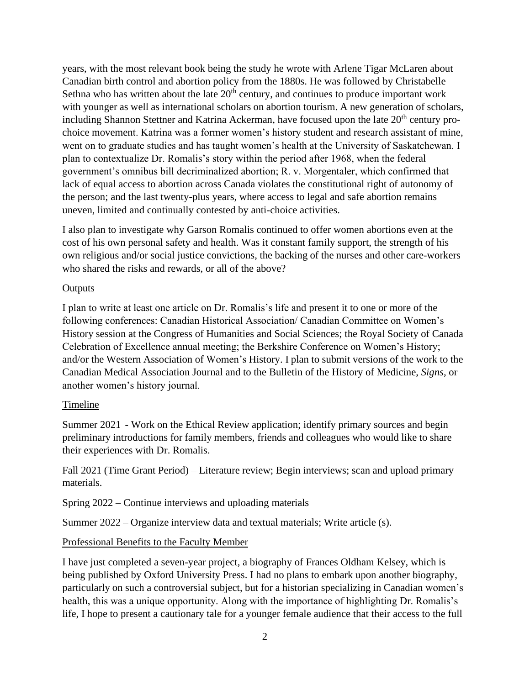years, with the most relevant book being the study he wrote with Arlene Tigar McLaren about Canadian birth control and abortion policy from the 1880s. He was followed by Christabelle Sethna who has written about the late  $20<sup>th</sup>$  century, and continues to produce important work with younger as well as international scholars on abortion tourism. A new generation of scholars, including Shannon Stettner and Katrina Ackerman, have focused upon the late  $20<sup>th</sup>$  century prochoice movement. Katrina was a former women's history student and research assistant of mine, went on to graduate studies and has taught women's health at the University of Saskatchewan. I plan to contextualize Dr. Romalis's story within the period after 1968, when the federal government's omnibus bill decriminalized abortion; R. v. Morgentaler, which confirmed that lack of equal access to abortion across Canada violates the constitutional right of autonomy of the person; and the last twenty-plus years, where access to legal and safe abortion remains uneven, limited and continually contested by anti-choice activities.

I also plan to investigate why Garson Romalis continued to offer women abortions even at the cost of his own personal safety and health. Was it constant family support, the strength of his own religious and/or social justice convictions, the backing of the nurses and other care-workers who shared the risks and rewards, or all of the above?

### **Outputs**

I plan to write at least one article on Dr. Romalis's life and present it to one or more of the following conferences: Canadian Historical Association/ Canadian Committee on Women's History session at the Congress of Humanities and Social Sciences; the Royal Society of Canada Celebration of Excellence annual meeting; the Berkshire Conference on Women's History; and/or the Western Association of Women's History. I plan to submit versions of the work to the Canadian Medical Association Journal and to the Bulletin of the History of Medicine, *Signs*, or another women's history journal.

## Timeline

Summer 2021 - Work on the Ethical Review application; identify primary sources and begin preliminary introductions for family members, friends and colleagues who would like to share their experiences with Dr. Romalis.

Fall 2021 (Time Grant Period) – Literature review; Begin interviews; scan and upload primary materials.

Spring 2022 – Continue interviews and uploading materials

Summer 2022 – Organize interview data and textual materials; Write article (s).

# Professional Benefits to the Faculty Member

I have just completed a seven-year project, a biography of Frances Oldham Kelsey, which is being published by Oxford University Press. I had no plans to embark upon another biography, particularly on such a controversial subject, but for a historian specializing in Canadian women's health, this was a unique opportunity. Along with the importance of highlighting Dr. Romalis's life, I hope to present a cautionary tale for a younger female audience that their access to the full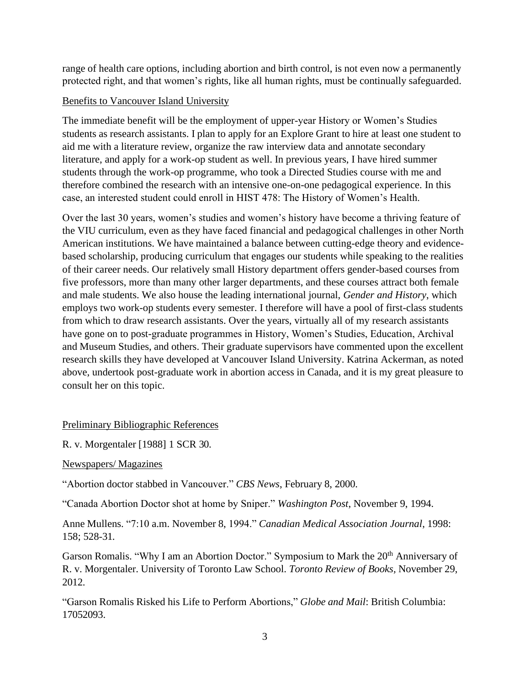range of health care options, including abortion and birth control, is not even now a permanently protected right, and that women's rights, like all human rights, must be continually safeguarded.

## Benefits to Vancouver Island University

The immediate benefit will be the employment of upper-year History or Women's Studies students as research assistants. I plan to apply for an Explore Grant to hire at least one student to aid me with a literature review, organize the raw interview data and annotate secondary literature, and apply for a work-op student as well. In previous years, I have hired summer students through the work-op programme, who took a Directed Studies course with me and therefore combined the research with an intensive one-on-one pedagogical experience. In this case, an interested student could enroll in HIST 478: The History of Women's Health.

Over the last 30 years, women's studies and women's history have become a thriving feature of the VIU curriculum, even as they have faced financial and pedagogical challenges in other North American institutions. We have maintained a balance between cutting-edge theory and evidencebased scholarship, producing curriculum that engages our students while speaking to the realities of their career needs. Our relatively small History department offers gender-based courses from five professors, more than many other larger departments, and these courses attract both female and male students. We also house the leading international journal, *Gender and History*, which employs two work-op students every semester. I therefore will have a pool of first-class students from which to draw research assistants. Over the years, virtually all of my research assistants have gone on to post-graduate programmes in History, Women's Studies, Education, Archival and Museum Studies, and others. Their graduate supervisors have commented upon the excellent research skills they have developed at Vancouver Island University. Katrina Ackerman, as noted above, undertook post-graduate work in abortion access in Canada, and it is my great pleasure to consult her on this topic.

# Preliminary Bibliographic References

R. v. Morgentaler [1988] 1 SCR 30.

Newspapers/ Magazines

"Abortion doctor stabbed in Vancouver." *CBS News*, February 8, 2000.

"Canada Abortion Doctor shot at home by Sniper." *Washington Post*, November 9, 1994.

Anne Mullens. "7:10 a.m. November 8, 1994." *Canadian Medical Association Journal*, 1998: 158; 528-31.

Garson Romalis. "Why I am an Abortion Doctor." Symposium to Mark the 20<sup>th</sup> Anniversary of R. v. Morgentaler. University of Toronto Law School. *Toronto Review of Books,* November 29, 2012.

"Garson Romalis Risked his Life to Perform Abortions," *Globe and Mail*: British Columbia: 17052093.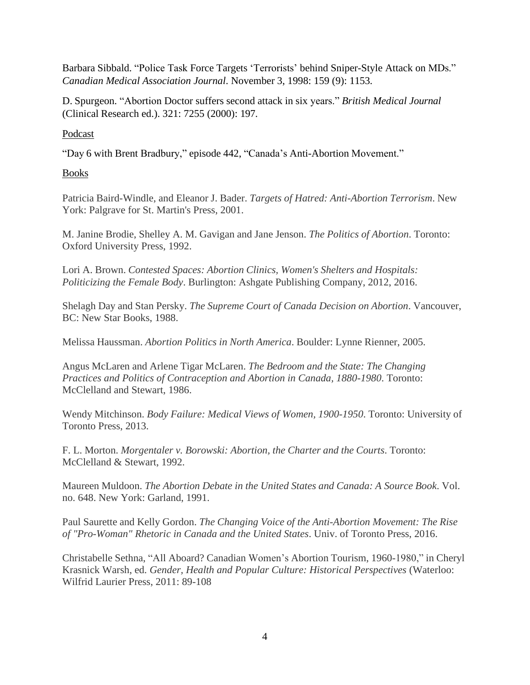Barbara Sibbald. "Police Task Force Targets 'Terrorists' behind Sniper-Style Attack on MDs." *Canadian Medical Association Journal*. November 3, 1998: 159 (9): 1153.

D. Spurgeon. "Abortion Doctor suffers second attack in six years." *British Medical Journal* (Clinical Research ed.). 321: 7255 (2000): 197.

### Podcast

"Day 6 with Brent Bradbury," episode 442, "Canada's Anti-Abortion Movement."

### Books

Patricia Baird-Windle, and Eleanor J. Bader. *Targets of Hatred: Anti-Abortion Terrorism*. New York: Palgrave for St. Martin's Press, 2001.

M. Janine Brodie, Shelley A. M. Gavigan and Jane Jenson. *The Politics of Abortion*. Toronto: Oxford University Press, 1992.

Lori A. Brown. *Contested Spaces: Abortion Clinics, Women's Shelters and Hospitals: Politicizing the Female Body*. Burlington: Ashgate Publishing Company, 2012, 2016.

Shelagh Day and Stan Persky. *The Supreme Court of Canada Decision on Abortion*. Vancouver, BC: New Star Books, 1988.

Melissa Haussman. *Abortion Politics in North America*. Boulder: Lynne Rienner, 2005.

Angus McLaren and Arlene Tigar McLaren. *The Bedroom and the State: The Changing Practices and Politics of Contraception and Abortion in Canada, 1880-1980*. Toronto: McClelland and Stewart, 1986.

Wendy Mitchinson. *Body Failure: Medical Views of Women, 1900-1950*. Toronto: University of Toronto Press, 2013.

F. L. Morton. *Morgentaler v. Borowski: Abortion, the Charter and the Courts*. Toronto: McClelland & Stewart, 1992.

Maureen Muldoon. *The Abortion Debate in the United States and Canada: A Source Book*. Vol. no. 648. New York: Garland, 1991.

Paul Saurette and Kelly Gordon. *The Changing Voice of the Anti-Abortion Movement: The Rise of "Pro-Woman" Rhetoric in Canada and the United States*. Univ. of Toronto Press, 2016.

Christabelle Sethna, "All Aboard? Canadian Women's Abortion Tourism, 1960-1980," in Cheryl Krasnick Warsh, ed. *Gender, Health and Popular Culture: Historical Perspectives* (Waterloo: Wilfrid Laurier Press, 2011: 89-108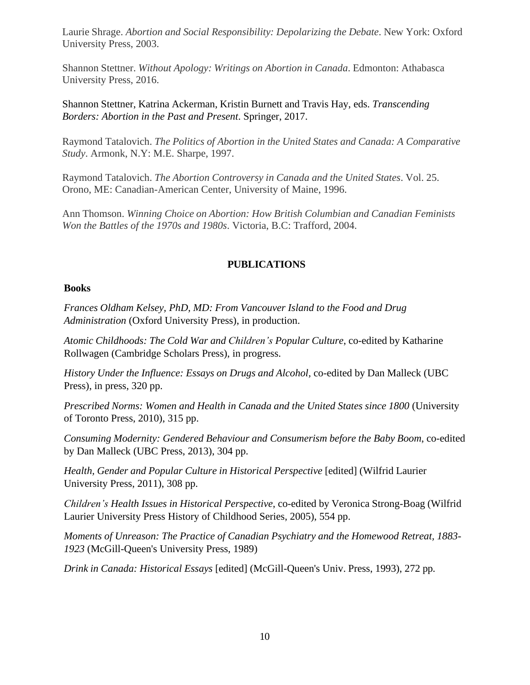Laurie Shrage. *Abortion and Social Responsibility: Depolarizing the Debate*. New York: Oxford University Press, 2003.

Shannon Stettner. *Without Apology: Writings on Abortion in Canada*. Edmonton: Athabasca University Press, 2016.

Shannon Stettner, Katrina Ackerman, Kristin Burnett and Travis Hay, eds. *Transcending Borders: Abortion in the Past and Present*. Springer, 2017.

Raymond Tatalovich. *The Politics of Abortion in the United States and Canada: A Comparative Study*. Armonk, N.Y: M.E. Sharpe, 1997.

Raymond Tatalovich. *The Abortion Controversy in Canada and the United States*. Vol. 25. Orono, ME: Canadian-American Center, University of Maine, 1996.

Ann Thomson. *Winning Choice on Abortion: How British Columbian and Canadian Feminists Won the Battles of the 1970s and 1980s*. Victoria, B.C: Trafford, 2004.

## **PUBLICATIONS**

### **Books**

*Frances Oldham Kelsey, PhD, MD: From Vancouver Island to the Food and Drug Administration* (Oxford University Press), in production.

*Atomic Childhoods: The Cold War and Children's Popular Culture*, co-edited by Katharine Rollwagen (Cambridge Scholars Press), in progress.

*History Under the Influence: Essays on Drugs and Alcohol,* co-edited by Dan Malleck (UBC Press), in press, 320 pp.

*Prescribed Norms: Women and Health in Canada and the United States since 1800* (University of Toronto Press, 2010), 315 pp.

*Consuming Modernity: Gendered Behaviour and Consumerism before the Baby Boom*, co-edited by Dan Malleck (UBC Press, 2013), 304 pp.

*Health, Gender and Popular Culture in Historical Perspective* [edited] (Wilfrid Laurier University Press, 2011), 308 pp.

*Children's Health Issues in Historical Perspective*, co-edited by Veronica Strong-Boag (Wilfrid Laurier University Press History of Childhood Series, 2005), 554 pp.

*Moments of Unreason: The Practice of Canadian Psychiatry and the Homewood Retreat, 1883- 1923* (McGill-Queen's University Press, 1989)

*Drink in Canada: Historical Essays* [edited] (McGill-Queen's Univ. Press, 1993), 272 pp.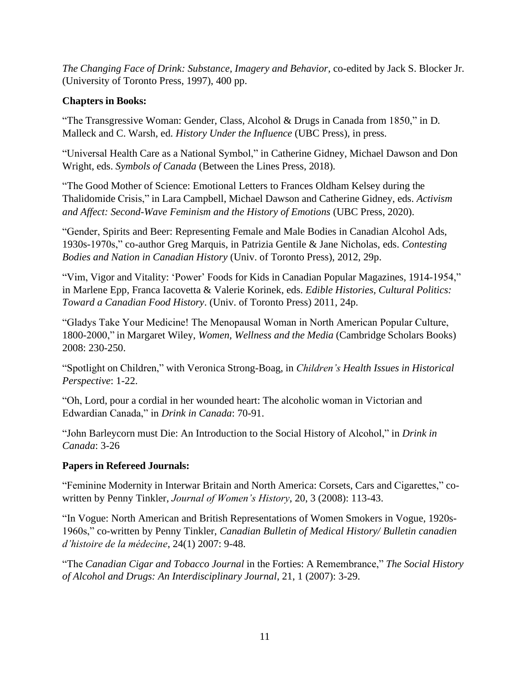*The Changing Face of Drink: Substance, Imagery and Behavior,* co-edited by Jack S. Blocker Jr. (University of Toronto Press, 1997), 400 pp.

# **Chapters in Books:**

"The Transgressive Woman: Gender, Class, Alcohol & Drugs in Canada from 1850," in D. Malleck and C. Warsh, ed. *History Under the Influence* (UBC Press), in press.

"Universal Health Care as a National Symbol," in Catherine Gidney, Michael Dawson and Don Wright, eds. *Symbols of Canada* (Between the Lines Press, 2018).

"The Good Mother of Science: Emotional Letters to Frances Oldham Kelsey during the Thalidomide Crisis," in Lara Campbell, Michael Dawson and Catherine Gidney, eds. *Activism and Affect: Second-Wave Feminism and the History of Emotions* (UBC Press, 2020).

"Gender, Spirits and Beer: Representing Female and Male Bodies in Canadian Alcohol Ads, 1930s-1970s," co-author Greg Marquis, in Patrizia Gentile & Jane Nicholas, eds. *Contesting Bodies and Nation in Canadian History* (Univ. of Toronto Press), 2012, 29p.

"Vim, Vigor and Vitality: 'Power' Foods for Kids in Canadian Popular Magazines, 1914-1954," in Marlene Epp, Franca Iacovetta & Valerie Korinek, eds. *Edible Histories, Cultural Politics: Toward a Canadian Food History*. (Univ. of Toronto Press) 2011, 24p.

"Gladys Take Your Medicine! The Menopausal Woman in North American Popular Culture, 1800-2000," in Margaret Wiley, *Women, Wellness and the Media* (Cambridge Scholars Books) 2008: 230-250.

"Spotlight on Children," with Veronica Strong-Boag, in *Children's Health Issues in Historical Perspective*: 1-22.

"Oh, Lord, pour a cordial in her wounded heart: The alcoholic woman in Victorian and Edwardian Canada," in *Drink in Canada*: 70-91.

"John Barleycorn must Die: An Introduction to the Social History of Alcohol," in *Drink in Canada*: 3-26

# **Papers in Refereed Journals:**

"Feminine Modernity in Interwar Britain and North America: Corsets, Cars and Cigarettes," cowritten by Penny Tinkler, *Journal of Women's History*, 20, 3 (2008): 113-43.

"In Vogue: North American and British Representations of Women Smokers in Vogue, 1920s-1960s," co-written by Penny Tinkler, *Canadian Bulletin of Medical History/ Bulletin canadien d'histoire de la médecine*, 24(1) 2007: 9-48.

"The *Canadian Cigar and Tobacco Journal* in the Forties: A Remembrance," *The Social History of Alcohol and Drugs: An Interdisciplinary Journal*, 21, 1 (2007): 3-29.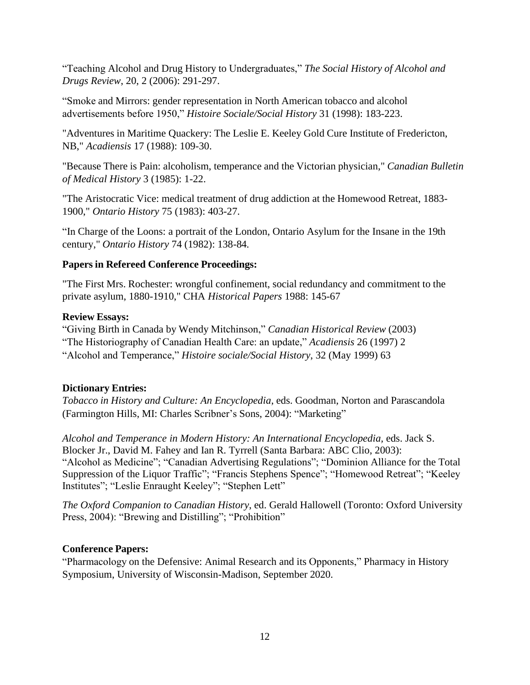"Teaching Alcohol and Drug History to Undergraduates," *The Social History of Alcohol and Drugs Review*, 20, 2 (2006): 291-297.

"Smoke and Mirrors: gender representation in North American tobacco and alcohol advertisements before 1950," *Histoire Sociale/Social History* 31 (1998): 183-223.

"Adventures in Maritime Quackery: The Leslie E. Keeley Gold Cure Institute of Fredericton, NB," *Acadiensis* 17 (1988): 109-30.

"Because There is Pain: alcoholism, temperance and the Victorian physician," *Canadian Bulletin of Medical History* 3 (1985): 1-22.

"The Aristocratic Vice: medical treatment of drug addiction at the Homewood Retreat, 1883- 1900," *Ontario History* 75 (1983): 403-27.

"In Charge of the Loons: a portrait of the London, Ontario Asylum for the Insane in the 19th century," *Ontario History* 74 (1982): 138-84.

## **Papers in Refereed Conference Proceedings:**

"The First Mrs. Rochester: wrongful confinement, social redundancy and commitment to the private asylum, 1880-1910," CHA *Historical Papers* 1988: 145-67

## **Review Essays:**

"Giving Birth in Canada by Wendy Mitchinson," *Canadian Historical Review* (2003) "The Historiography of Canadian Health Care: an update," *Acadiensis* 26 (1997) 2 "Alcohol and Temperance," *Histoire sociale/Social History*, 32 (May 1999) 63

## **Dictionary Entries:**

*Tobacco in History and Culture: An Encyclopedia*, eds. Goodman, Norton and Parascandola (Farmington Hills, MI: Charles Scribner's Sons, 2004): "Marketing"

*Alcohol and Temperance in Modern History: An International Encyclopedia,* eds. Jack S. Blocker Jr., David M. Fahey and Ian R. Tyrrell (Santa Barbara: ABC Clio, 2003): "Alcohol as Medicine"; "Canadian Advertising Regulations"; "Dominion Alliance for the Total Suppression of the Liquor Traffic"; "Francis Stephens Spence"; "Homewood Retreat"; "Keeley Institutes"; "Leslie Enraught Keeley"; "Stephen Lett"

*The Oxford Companion to Canadian History*, ed. Gerald Hallowell (Toronto: Oxford University Press, 2004): "Brewing and Distilling"; "Prohibition"

# **Conference Papers:**

"Pharmacology on the Defensive: Animal Research and its Opponents," Pharmacy in History Symposium, University of Wisconsin-Madison, September 2020.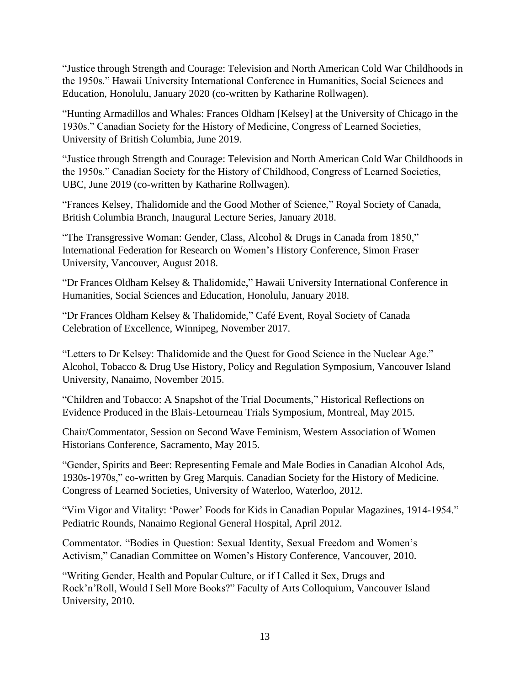"Justice through Strength and Courage: Television and North American Cold War Childhoods in the 1950s." Hawaii University International Conference in Humanities, Social Sciences and Education, Honolulu, January 2020 (co-written by Katharine Rollwagen).

"Hunting Armadillos and Whales: Frances Oldham [Kelsey] at the University of Chicago in the 1930s." Canadian Society for the History of Medicine, Congress of Learned Societies, University of British Columbia, June 2019.

"Justice through Strength and Courage: Television and North American Cold War Childhoods in the 1950s." Canadian Society for the History of Childhood, Congress of Learned Societies, UBC, June 2019 (co-written by Katharine Rollwagen).

"Frances Kelsey, Thalidomide and the Good Mother of Science," Royal Society of Canada, British Columbia Branch, Inaugural Lecture Series, January 2018.

"The Transgressive Woman: Gender, Class, Alcohol & Drugs in Canada from 1850," International Federation for Research on Women's History Conference, Simon Fraser University, Vancouver, August 2018.

"Dr Frances Oldham Kelsey & Thalidomide," Hawaii University International Conference in Humanities, Social Sciences and Education, Honolulu, January 2018.

"Dr Frances Oldham Kelsey & Thalidomide," Café Event, Royal Society of Canada Celebration of Excellence, Winnipeg, November 2017.

"Letters to Dr Kelsey: Thalidomide and the Quest for Good Science in the Nuclear Age." Alcohol, Tobacco & Drug Use History, Policy and Regulation Symposium, Vancouver Island University, Nanaimo, November 2015.

"Children and Tobacco: A Snapshot of the Trial Documents," Historical Reflections on Evidence Produced in the Blais-Letourneau Trials Symposium, Montreal, May 2015.

Chair/Commentator, Session on Second Wave Feminism, Western Association of Women Historians Conference, Sacramento, May 2015.

"Gender, Spirits and Beer: Representing Female and Male Bodies in Canadian Alcohol Ads, 1930s-1970s," co-written by Greg Marquis. Canadian Society for the History of Medicine. Congress of Learned Societies, University of Waterloo, Waterloo, 2012.

"Vim Vigor and Vitality: 'Power' Foods for Kids in Canadian Popular Magazines, 1914-1954." Pediatric Rounds, Nanaimo Regional General Hospital, April 2012.

Commentator. "Bodies in Question: Sexual Identity, Sexual Freedom and Women's Activism," Canadian Committee on Women's History Conference, Vancouver, 2010.

"Writing Gender, Health and Popular Culture, or if I Called it Sex, Drugs and Rock'n'Roll, Would I Sell More Books?" Faculty of Arts Colloquium, Vancouver Island University, 2010.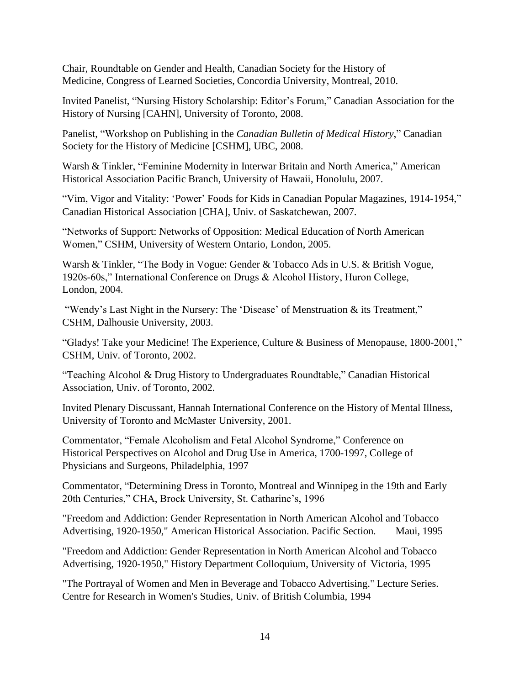Chair, Roundtable on Gender and Health, Canadian Society for the History of Medicine, Congress of Learned Societies, Concordia University, Montreal, 2010.

Invited Panelist, "Nursing History Scholarship: Editor's Forum," Canadian Association for the History of Nursing [CAHN], University of Toronto, 2008.

Panelist, "Workshop on Publishing in the *Canadian Bulletin of Medical History*," Canadian Society for the History of Medicine [CSHM], UBC, 2008.

Warsh & Tinkler, "Feminine Modernity in Interwar Britain and North America," American Historical Association Pacific Branch, University of Hawaii, Honolulu, 2007.

"Vim, Vigor and Vitality: 'Power' Foods for Kids in Canadian Popular Magazines, 1914-1954," Canadian Historical Association [CHA], Univ. of Saskatchewan, 2007.

"Networks of Support: Networks of Opposition: Medical Education of North American Women," CSHM, University of Western Ontario, London, 2005.

Warsh & Tinkler, "The Body in Vogue: Gender & Tobacco Ads in U.S. & British Vogue, 1920s-60s," International Conference on Drugs & Alcohol History, Huron College, London, 2004.

"Wendy's Last Night in the Nursery: The 'Disease' of Menstruation & its Treatment," CSHM, Dalhousie University, 2003.

"Gladys! Take your Medicine! The Experience, Culture & Business of Menopause, 1800-2001," CSHM, Univ. of Toronto, 2002.

"Teaching Alcohol & Drug History to Undergraduates Roundtable," Canadian Historical Association, Univ. of Toronto, 2002.

Invited Plenary Discussant, Hannah International Conference on the History of Mental Illness, University of Toronto and McMaster University, 2001.

Commentator, "Female Alcoholism and Fetal Alcohol Syndrome," Conference on Historical Perspectives on Alcohol and Drug Use in America, 1700-1997, College of Physicians and Surgeons, Philadelphia, 1997

Commentator, "Determining Dress in Toronto, Montreal and Winnipeg in the 19th and Early 20th Centuries," CHA, Brock University, St. Catharine's, 1996

"Freedom and Addiction: Gender Representation in North American Alcohol and Tobacco Advertising, 1920-1950," American Historical Association. Pacific Section. Maui, 1995

"Freedom and Addiction: Gender Representation in North American Alcohol and Tobacco Advertising, 1920-1950," History Department Colloquium, University of Victoria, 1995

"The Portrayal of Women and Men in Beverage and Tobacco Advertising." Lecture Series. Centre for Research in Women's Studies, Univ. of British Columbia, 1994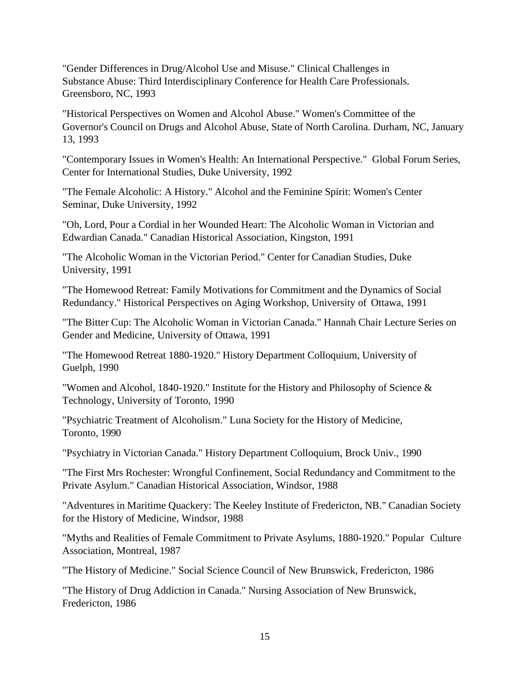"Gender Differences in Drug/Alcohol Use and Misuse." Clinical Challenges in Substance Abuse: Third Interdisciplinary Conference for Health Care Professionals. Greensboro, NC, 1993

"Historical Perspectives on Women and Alcohol Abuse." Women's Committee of the Governor's Council on Drugs and Alcohol Abuse, State of North Carolina. Durham, NC, January 13, 1993

"Contemporary Issues in Women's Health: An International Perspective." Global Forum Series, Center for International Studies, Duke University, 1992

"The Female Alcoholic: A History." Alcohol and the Feminine Spirit: Women's Center Seminar, Duke University, 1992

"Oh, Lord, Pour a Cordial in her Wounded Heart: The Alcoholic Woman in Victorian and Edwardian Canada." Canadian Historical Association, Kingston, 1991

"The Alcoholic Woman in the Victorian Period." Center for Canadian Studies, Duke University, 1991

"The Homewood Retreat: Family Motivations for Commitment and the Dynamics of Social Redundancy." Historical Perspectives on Aging Workshop, University of Ottawa, 1991

"The Bitter Cup: The Alcoholic Woman in Victorian Canada." Hannah Chair Lecture Series on Gender and Medicine, University of Ottawa, 1991

"The Homewood Retreat 1880-1920." History Department Colloquium, University of Guelph, 1990

"Women and Alcohol, 1840-1920." Institute for the History and Philosophy of Science & Technology, University of Toronto, 1990

"Psychiatric Treatment of Alcoholism." Luna Society for the History of Medicine, Toronto, 1990

"Psychiatry in Victorian Canada." History Department Colloquium, Brock Univ., 1990

"The First Mrs Rochester: Wrongful Confinement, Social Redundancy and Commitment to the Private Asylum." Canadian Historical Association, Windsor, 1988

"Adventures in Maritime Quackery: The Keeley Institute of Fredericton, NB." Canadian Society for the History of Medicine, Windsor, 1988

"Myths and Realities of Female Commitment to Private Asylums, 1880-1920." Popular Culture Association, Montreal, 1987

"The History of Medicine." Social Science Council of New Brunswick, Fredericton, 1986

"The History of Drug Addiction in Canada." Nursing Association of New Brunswick, Fredericton, 1986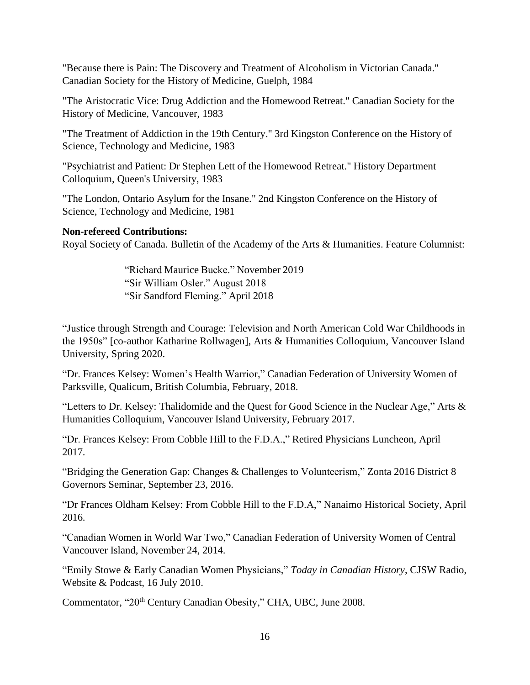"Because there is Pain: The Discovery and Treatment of Alcoholism in Victorian Canada." Canadian Society for the History of Medicine, Guelph, 1984

"The Aristocratic Vice: Drug Addiction and the Homewood Retreat." Canadian Society for the History of Medicine, Vancouver, 1983

"The Treatment of Addiction in the 19th Century." 3rd Kingston Conference on the History of Science, Technology and Medicine, 1983

"Psychiatrist and Patient: Dr Stephen Lett of the Homewood Retreat." History Department Colloquium, Queen's University, 1983

"The London, Ontario Asylum for the Insane." 2nd Kingston Conference on the History of Science, Technology and Medicine, 1981

## **Non-refereed Contributions:**

Royal Society of Canada. Bulletin of the Academy of the Arts & Humanities. Feature Columnist:

"Richard Maurice Bucke." November 2019 "Sir William Osler." August 2018 "Sir Sandford Fleming." April 2018

"Justice through Strength and Courage: Television and North American Cold War Childhoods in the 1950s" [co-author Katharine Rollwagen], Arts & Humanities Colloquium, Vancouver Island University, Spring 2020.

"Dr. Frances Kelsey: Women's Health Warrior," Canadian Federation of University Women of Parksville, Qualicum, British Columbia, February, 2018.

"Letters to Dr. Kelsey: Thalidomide and the Quest for Good Science in the Nuclear Age," Arts & Humanities Colloquium, Vancouver Island University, February 2017.

"Dr. Frances Kelsey: From Cobble Hill to the F.D.A.," Retired Physicians Luncheon, April 2017.

"Bridging the Generation Gap: Changes & Challenges to Volunteerism," Zonta 2016 District 8 Governors Seminar, September 23, 2016.

"Dr Frances Oldham Kelsey: From Cobble Hill to the F.D.A," Nanaimo Historical Society, April 2016.

"Canadian Women in World War Two," Canadian Federation of University Women of Central Vancouver Island, November 24, 2014.

"Emily Stowe & Early Canadian Women Physicians," *Today in Canadian History*, CJSW Radio, Website & Podcast, 16 July 2010.

Commentator, "20<sup>th</sup> Century Canadian Obesity," CHA, UBC, June 2008.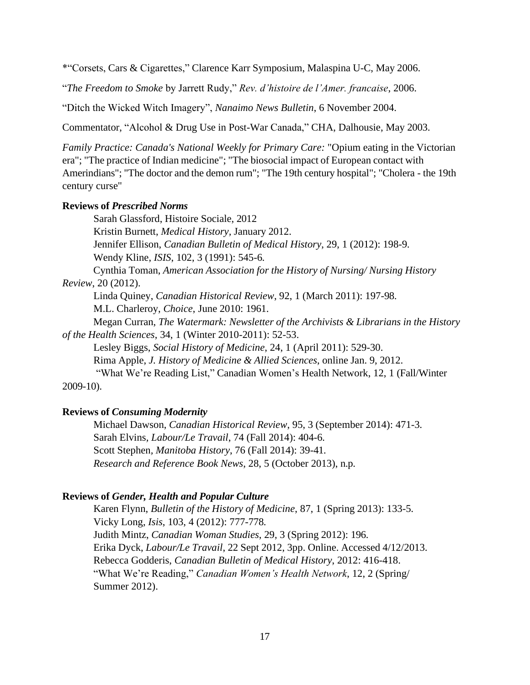\*"Corsets, Cars & Cigarettes," Clarence Karr Symposium, Malaspina U-C, May 2006.

"*The Freedom to Smoke* by Jarrett Rudy," *Rev. d'histoire de l'Amer. francaise*, 2006.

"Ditch the Wicked Witch Imagery", *Nanaimo News Bulletin*, 6 November 2004.

Commentator, "Alcohol & Drug Use in Post-War Canada," CHA, Dalhousie, May 2003.

*Family Practice: Canada's National Weekly for Primary Care:* "Opium eating in the Victorian era"; "The practice of Indian medicine"; "The biosocial impact of European contact with Amerindians"; "The doctor and the demon rum"; "The 19th century hospital"; "Cholera - the 19th century curse"

#### **Reviews of** *Prescribed Norms*

Sarah Glassford, Histoire Sociale, 2012

Kristin Burnett, *Medical History,* January 2012.

Jennifer Ellison, *Canadian Bulletin of Medical History*, 29, 1 (2012): 198-9.

Wendy Kline, *ISIS*, 102, 3 (1991): 545-6.

Cynthia Toman, *American Association for the History of Nursing/ Nursing History Review*, 20 (2012).

Linda Quiney, *Canadian Historical Review*, 92, 1 (March 2011): 197-98. M.L. Charleroy, *Choice*, June 2010: 1961.

Megan Curran, *The Watermark: Newsletter of the Archivists & Librarians in the History of the Health Sciences*, 34, 1 (Winter 2010-2011): 52-53.

Lesley Biggs, *Social History of Medicine*, 24, 1 (April 2011): 529-30. Rima Apple, *J. History of Medicine & Allied Sciences*, online Jan. 9, 2012. "What We're Reading List," Canadian Women's Health Network, 12, 1 (Fall/Winter

2009-10).

### **Reviews of** *Consuming Modernity*

Michael Dawson, *Canadian Historical Review*, 95, 3 (September 2014): 471-3. Sarah Elvins*, Labour/Le Travail*, 74 (Fall 2014): 404-6. Scott Stephen*, Manitoba History*, 76 (Fall 2014): 39-41. *Research and Reference Book News*, 28, 5 (October 2013), n.p.

#### **Reviews of** *Gender, Health and Popular Culture*

Karen Flynn, *Bulletin of the History of Medicine*, 87, 1 (Spring 2013): 133-5. Vicky Long, *Isis*, 103, 4 (2012): 777-778. Judith Mintz, *Canadian Woman Studies*, 29, 3 (Spring 2012): 196. Erika Dyck, *Labour/Le Travail*, 22 Sept 2012, 3pp. Online. Accessed 4/12/2013. Rebecca Godderis, *Canadian Bulletin of Medical History*, 2012: 416-418. "What We're Reading," *Canadian Women's Health Network*, 12, 2 (Spring/ Summer 2012).